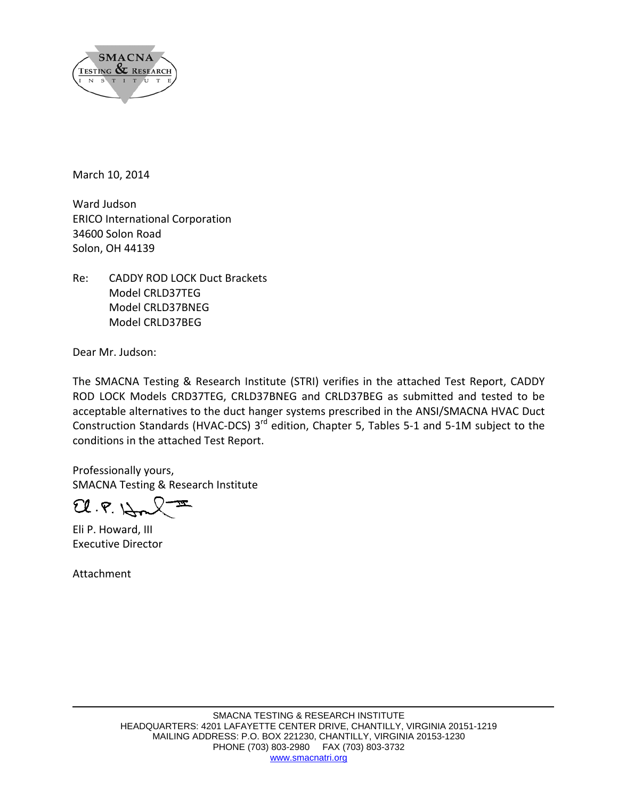

March 10, 2014

Ward Judson ERICO International Corporation 34600 Solon Road Solon, OH 44139

Re: CADDY ROD LOCK Duct Brackets Model CRLD37TEG Model CRLD37BNEG Model CRLD37BEG

Dear Mr. Judson:

The SMACNA Testing & Research Institute (STRI) verifies in the attached Test Report, CADDY ROD LOCK Models CRD37TEG, CRLD37BNEG and CRLD37BEG as submitted and tested to be acceptable alternatives to the duct hanger systems prescribed in the ANSI/SMACNA HVAC Duct Construction Standards (HVAC-DCS) 3<sup>rd</sup> edition, Chapter 5, Tables 5-1 and 5-1M subject to the conditions in the attached Test Report.

Professionally yours, SMACNA Testing & Research Institute

 $Cl.F. \downarrow$ 

Eli P. Howard, III Executive Director

Attachment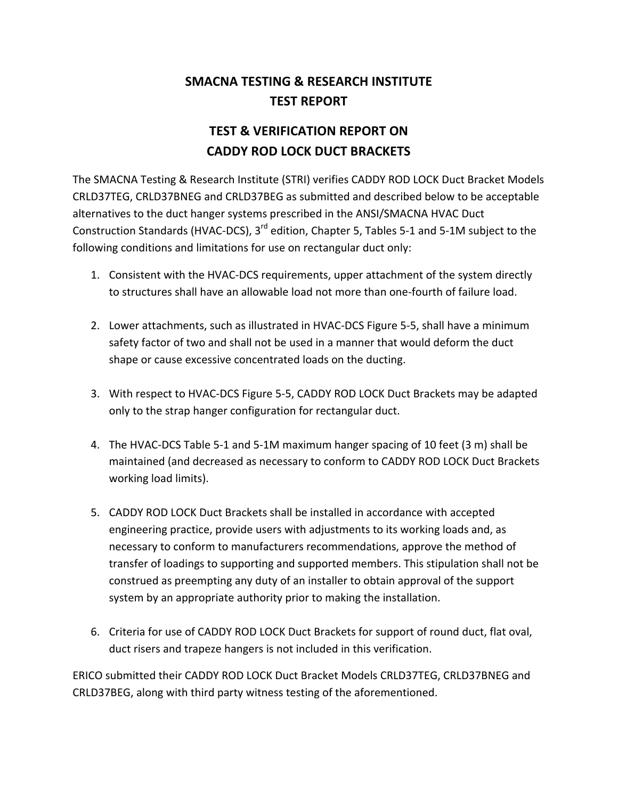## **SMACNA TESTING & RESEARCH INSTITUTE TEST REPORT**

## **TEST & VERIFICATION REPORT ON CADDY ROD LOCK DUCT BRACKETS**

The SMACNA Testing & Research Institute (STRI) verifies CADDY ROD LOCK Duct Bracket Models CRLD37TEG, CRLD37BNEG and CRLD37BEG as submitted and described below to be acceptable alternatives to the duct hanger systems prescribed in the ANSI/SMACNA HVAC Duct Construction Standards (HVAC-DCS), 3<sup>rd</sup> edition, Chapter 5, Tables 5-1 and 5-1M subject to the following conditions and limitations for use on rectangular duct only:

- 1. Consistent with the HVAC‐DCS requirements, upper attachment of the system directly to structures shall have an allowable load not more than one‐fourth of failure load.
- 2. Lower attachments, such as illustrated in HVAC‐DCS Figure 5‐5, shall have a minimum safety factor of two and shall not be used in a manner that would deform the duct shape or cause excessive concentrated loads on the ducting.
- 3. With respect to HVAC‐DCS Figure 5‐5, CADDY ROD LOCK Duct Brackets may be adapted only to the strap hanger configuration for rectangular duct.
- 4. The HVAC‐DCS Table 5‐1 and 5‐1M maximum hanger spacing of 10 feet (3 m) shall be maintained (and decreased as necessary to conform to CADDY ROD LOCK Duct Brackets working load limits).
- 5. CADDY ROD LOCK Duct Brackets shall be installed in accordance with accepted engineering practice, provide users with adjustments to its working loads and, as necessary to conform to manufacturers recommendations, approve the method of transfer of loadings to supporting and supported members. This stipulation shall not be construed as preempting any duty of an installer to obtain approval of the support system by an appropriate authority prior to making the installation.
- 6. Criteria for use of CADDY ROD LOCK Duct Brackets for support of round duct, flat oval, duct risers and trapeze hangers is not included in this verification.

ERICO submitted their CADDY ROD LOCK Duct Bracket Models CRLD37TEG, CRLD37BNEG and CRLD37BEG, along with third party witness testing of the aforementioned.